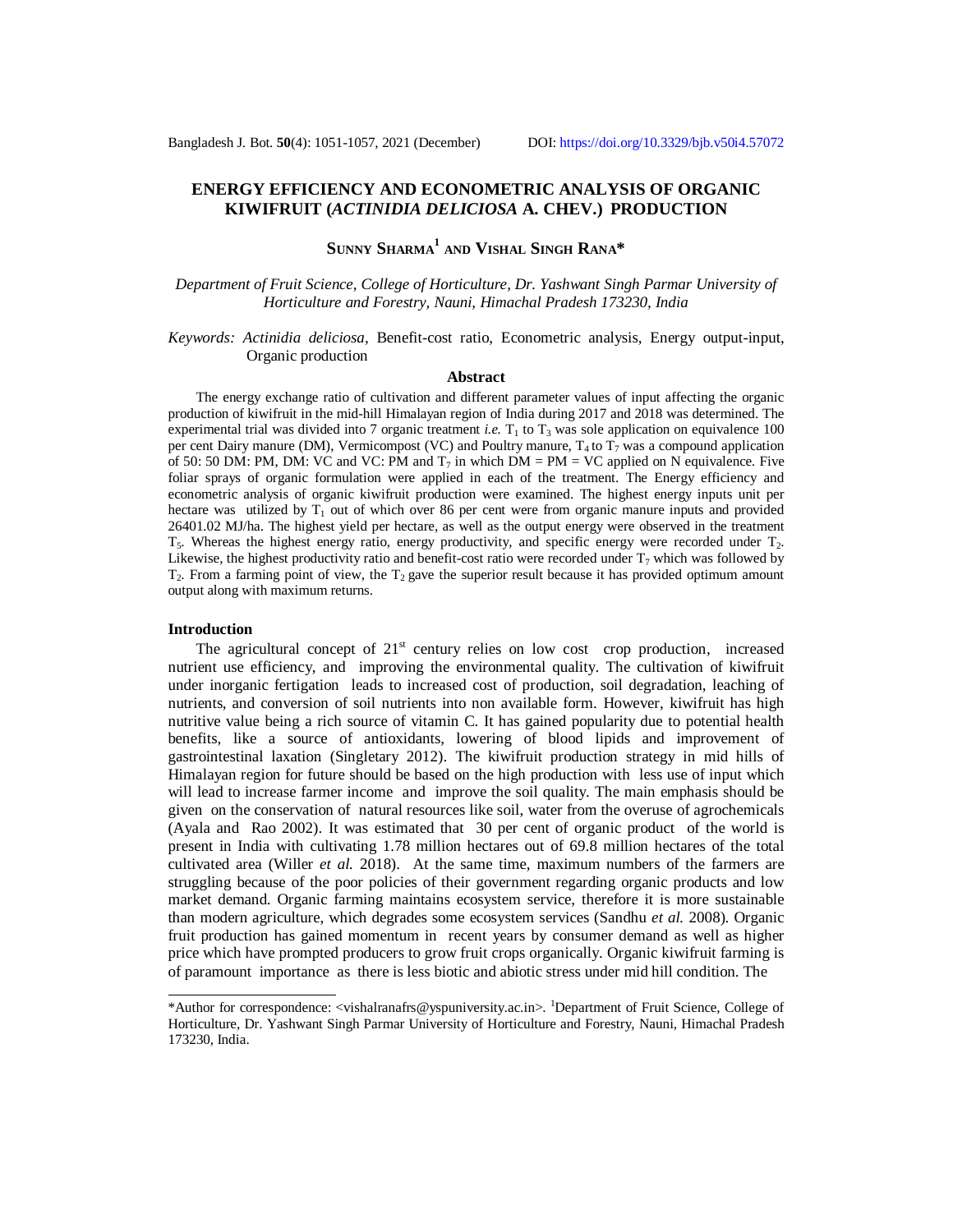## **ENERGY EFFICIENCY AND ECONOMETRIC ANALYSIS OF ORGANIC KIWIFRUIT (***ACTINIDIA DELICIOSA* **A. CHEV.) PRODUCTION**

# **SUNNY SHARMA<sup>1</sup> AND VISHAL SINGH RANA\***

### *Department of Fruit Science, College of Horticulture, Dr. Yashwant Singh Parmar University of Horticulture and Forestry, Nauni, Himachal Pradesh 173230, India*

#### *Keywords: Actinidia deliciosa*, Benefit-cost ratio, Econometric analysis, Energy output-input, Organic production

#### **Abstract**

The energy exchange ratio of cultivation and different parameter values of input affecting the organic production of kiwifruit in the mid-hill Himalayan region of India during 2017 and 2018 was determined. The experimental trial was divided into 7 organic treatment *i.e.*  $T_1$  to  $T_3$  was sole application on equivalence 100 per cent Dairy manure (DM), Vermicompost (VC) and Poultry manure,  $T_4$  to  $T_7$  was a compound application of 50: 50 DM: PM, DM: VC and VC: PM and  $T_7$  in which DM = PM = VC applied on N equivalence. Five foliar sprays of organic formulation were applied in each of the treatment. The Energy efficiency and econometric analysis of organic kiwifruit production were examined. The highest energy inputs unit per hectare was utilized by  $T_1$  out of which over 86 per cent were from organic manure inputs and provided 26401.02 MJ/ha. The highest yield per hectare, as well as the output energy were observed in the treatment  $T_5$ . Whereas the highest energy ratio, energy productivity, and specific energy were recorded under  $T_2$ . Likewise, the highest productivity ratio and benefit-cost ratio were recorded under  $T_7$  which was followed by  $T_2$ . From a farming point of view, the  $T_2$  gave the superior result because it has provided optimum amount output along with maximum returns.

#### **Introduction**

The agricultural concept of  $21<sup>st</sup>$  century relies on low cost crop production, increased nutrient use efficiency, and improving the environmental quality. The cultivation of kiwifruit under inorganic fertigation leads to increased cost of production, soil degradation, leaching of nutrients, and conversion of soil nutrients into non available form. However, kiwifruit has high nutritive value being a rich source of vitamin C. It has gained popularity due to potential health benefits, like a source of antioxidants, lowering of blood lipids and improvement of gastrointestinal laxation (Singletary 2012). The kiwifruit production strategy in mid hills of Himalayan region for future should be based on the high production with less use of input which will lead to increase farmer income and improve the soil quality. The main emphasis should be given on the conservation of natural resources like soil, water from the overuse of agrochemicals (Ayala and Rao 2002). It was estimated that 30 per cent of organic product of the world is present in India with cultivating 1.78 million hectares out of 69.8 million hectares of the total cultivated area (Willer *et al.* 2018). At the same time, maximum numbers of the farmers are struggling because of the poor policies of their government regarding organic products and low market demand. Organic farming maintains ecosystem service, therefore it is more sustainable than modern agriculture, which degrades some ecosystem services (Sandhu *et al.* 2008). Organic fruit production has gained momentum in recent years by consumer demand as well as higher price which have prompted producers to grow fruit crops organically. Organic kiwifruit farming is of paramount importance as there is less biotic and abiotic stress under mid hill condition. The

<sup>\*</sup>Author for correspondence: <[vishalranafrs@yspuniversity.ac.in>](mailto:vishalranafrs@yspuniversity.ac.in). <sup>1</sup>Department of Fruit Science, College of Horticulture, Dr. Yashwant Singh Parmar University of Horticulture and Forestry, Nauni, Himachal Pradesh 173230, India.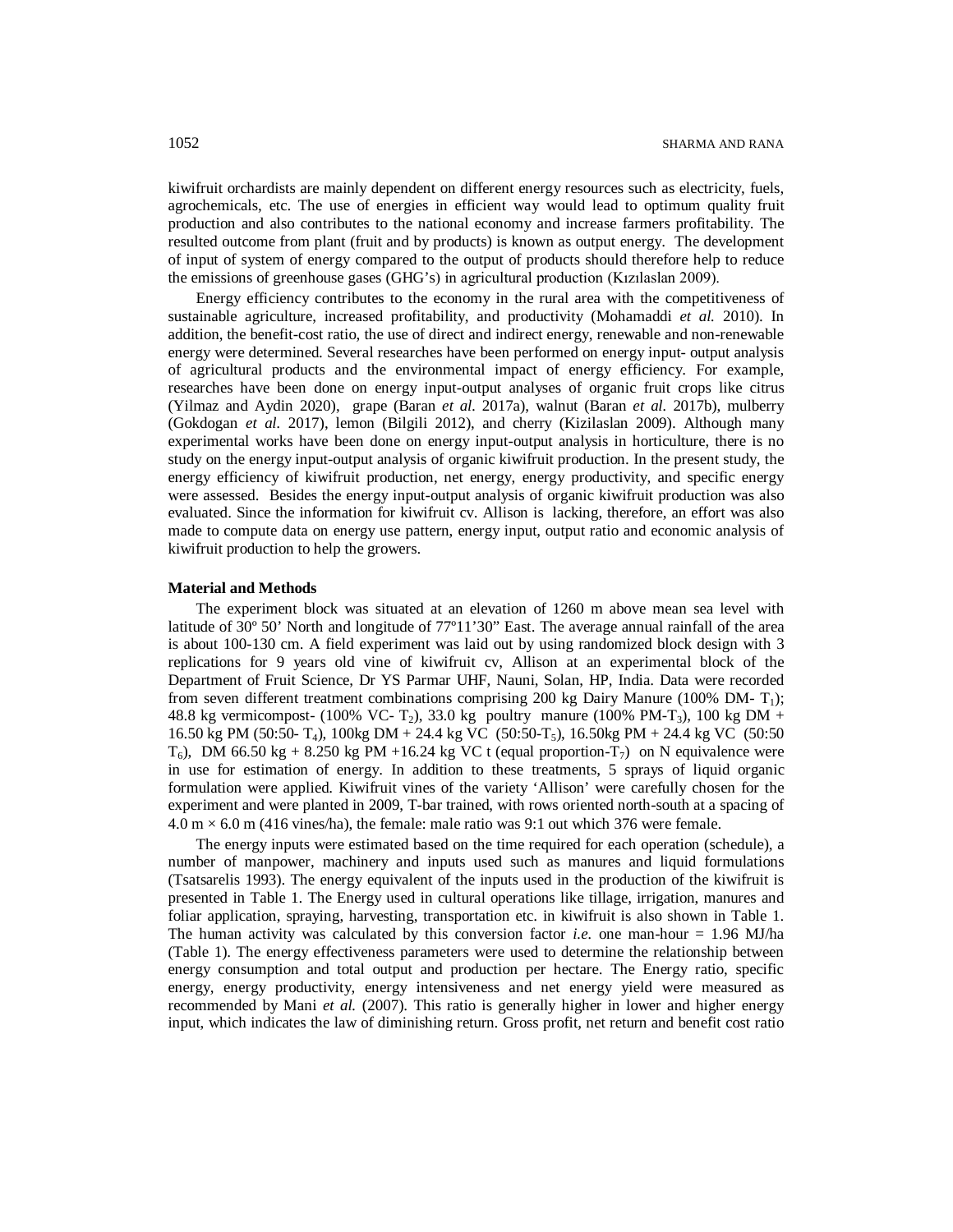kiwifruit orchardists are mainly dependent on different energy resources such as electricity, fuels, agrochemicals, etc. The use of energies in efficient way would lead to optimum quality fruit production and also contributes to the national economy and increase farmers profitability. The resulted outcome from plant (fruit and by products) is known as output energy. The development of input of system of energy compared to the output of products should therefore help to reduce the emissions of greenhouse gases (GHG's) in agricultural production (Kızılaslan 2009).

Energy efficiency contributes to the economy in the rural area with the competitiveness of sustainable agriculture, increased profitability, and productivity (Mohamaddi *et al.* 2010). In addition, the benefit-cost ratio, the use of direct and indirect energy, renewable and non-renewable energy were determined. Several researches have been performed on energy input- output analysis of agricultural products and the environmental impact of energy efficiency. For example, researches have been done on energy input-output analyses of organic fruit crops like citrus (Yilmaz and Aydin 2020), grape (Baran *et al.* 2017a), walnut (Baran *et al.* 2017b), mulberry (Gokdogan *et al.* 2017), lemon (Bilgili 2012), and cherry (Kizilaslan 2009). Although many experimental works have been done on energy input-output analysis in horticulture, there is no study on the energy input-output analysis of organic kiwifruit production. In the present study, the energy efficiency of kiwifruit production, net energy, energy productivity, and specific energy were assessed. Besides the energy input-output analysis of organic kiwifruit production was also evaluated. Since the information for kiwifruit cv. Allison is lacking, therefore, an effort was also made to compute data on energy use pattern, energy input, output ratio and economic analysis of kiwifruit production to help the growers.

#### **Material and Methods**

The experiment block was situated at an elevation of 1260 m above mean sea level with latitude of 30° 50' North and longitude of 77°11'30" East. The average annual rainfall of the area is about 100-130 cm. A field experiment was laid out by using randomized block design with 3 replications for 9 years old vine of kiwifruit cv, Allison at an experimental block of the Department of Fruit Science, Dr YS Parmar UHF, Nauni, Solan, HP, India. Data were recorded from seven different treatment combinations comprising 200 kg Dairy Manure (100% DM-T<sub>1</sub>); 48.8 kg vermicompost- (100% VC- T<sub>2</sub>), 33.0 kg poultry manure (100% PM-T<sub>3</sub>), 100 kg DM + 16.50 kg PM (50:50- T4), 100kg DM + 24.4 kg VC (50:50-T5), 16.50kg PM + 24.4 kg VC (50:50  $T_6$ ), DM 66.50 kg + 8.250 kg PM +16.24 kg VC t (equal proportion- $T_7$ ) on N equivalence were in use for estimation of energy. In addition to these treatments, 5 sprays of liquid organic formulation were applied. Kiwifruit vines of the variety 'Allison' were carefully chosen for the experiment and were planted in 2009, T-bar trained, with rows oriented north-south at a spacing of  $4.0 \text{ m} \times 6.0 \text{ m}$  (416 vines/ha), the female: male ratio was 9:1 out which 376 were female.

The energy inputs were estimated based on the time required for each operation (schedule), a number of manpower, machinery and inputs used such as manures and liquid formulations (Tsatsarelis 1993). The energy equivalent of the inputs used in the production of the kiwifruit is presented in Table 1. The Energy used in cultural operations like tillage, irrigation, manures and foliar application, spraying, harvesting, transportation etc. in kiwifruit is also shown in Table 1. The human activity was calculated by this conversion factor *i.e.* one man-hour  $= 1.96$  MJ/ha (Table 1). The energy effectiveness parameters were used to determine the relationship between energy consumption and total output and production per hectare. The Energy ratio, specific energy, energy productivity, energy intensiveness and net energy yield were measured as recommended by Mani *et al.* (2007). This ratio is generally higher in lower and higher energy input, which indicates the law of diminishing return. Gross profit, net return and benefit cost ratio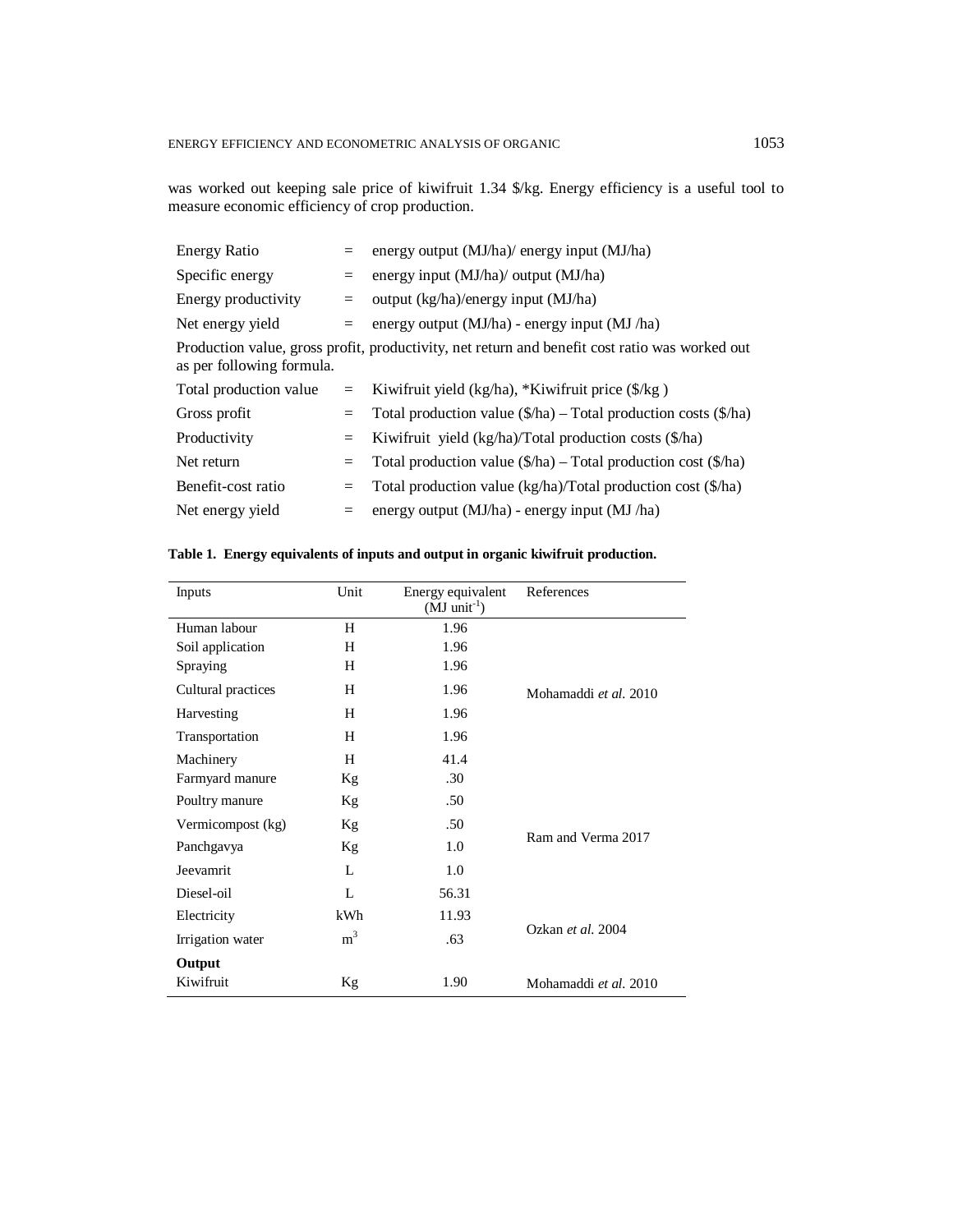was worked out keeping sale price of kiwifruit 1.34 \$/kg. Energy efficiency is a useful tool to measure economic efficiency of crop production.

| <b>Energy Ratio</b>       |     | energy output (MJ/ha)/ energy input (MJ/ha)                                                    |
|---------------------------|-----|------------------------------------------------------------------------------------------------|
| Specific energy           |     | energy input (MJ/ha)/ output (MJ/ha)                                                           |
| Energy productivity       |     | output (kg/ha)/energy input (MJ/ha)                                                            |
| Net energy yield          | $=$ | energy output (MJ/ha) - energy input (MJ/ha)                                                   |
| as per following formula. |     | Production value, gross profit, productivity, net return and benefit cost ratio was worked out |
| Total production value    |     | Kiwifruit yield (kg/ha), *Kiwifruit price (\$/kg)                                              |
| Gross profit              | $=$ | Total production value $(\frac{1}{2}$ ha) – Total production costs $(\frac{1}{2}$ ha)          |
| Productivity              | $=$ | Kiwifruit yield (kg/ha)/Total production costs (\$/ha)                                         |
| Net return                | $=$ | Total production value $(\frac{f}{h}a)$ – Total production cost $(\frac{f}{h}a)$               |
| Benefit-cost ratio        | $=$ | Total production value (kg/ha)/Total production cost (\$/ha)                                   |
| Net energy yield          |     | energy output $(MJ/ha)$ - energy input $(MJ/ha)$                                               |
|                           |     |                                                                                                |

## **Table 1. Energy equivalents of inputs and output in organic kiwifruit production.**

| Inputs             | Unit           | Energy equivalent<br>$(MJ \text{ unit}^{-1})$ | References            |
|--------------------|----------------|-----------------------------------------------|-----------------------|
| Human labour       | H              | 1.96                                          |                       |
| Soil application   | H              | 1.96                                          |                       |
| Spraying           | H              | 1.96                                          |                       |
| Cultural practices | Н              | 1.96                                          | Mohamaddi et al. 2010 |
| Harvesting         | H              | 1.96                                          |                       |
| Transportation     | H              | 1.96                                          |                       |
| Machinery          | H              | 41.4                                          |                       |
| Farmyard manure    | Кg             | .30                                           |                       |
| Poultry manure     | Kg             | .50                                           |                       |
| Vermicompost (kg)  | Кg             | .50                                           |                       |
| Panchgavya         | Kg             | 1.0                                           | Ram and Verma 2017    |
| Jeevamrit          | L              | 1.0                                           |                       |
| Diesel-oil         | L              | 56.31                                         |                       |
| Electricity        | kWh            | 11.93                                         |                       |
| Irrigation water   | m <sup>3</sup> | .63                                           | Ozkan et al. 2004     |
| Output             |                |                                               |                       |
| Kiwifruit          | Kg             | 1.90                                          | Mohamaddi et al. 2010 |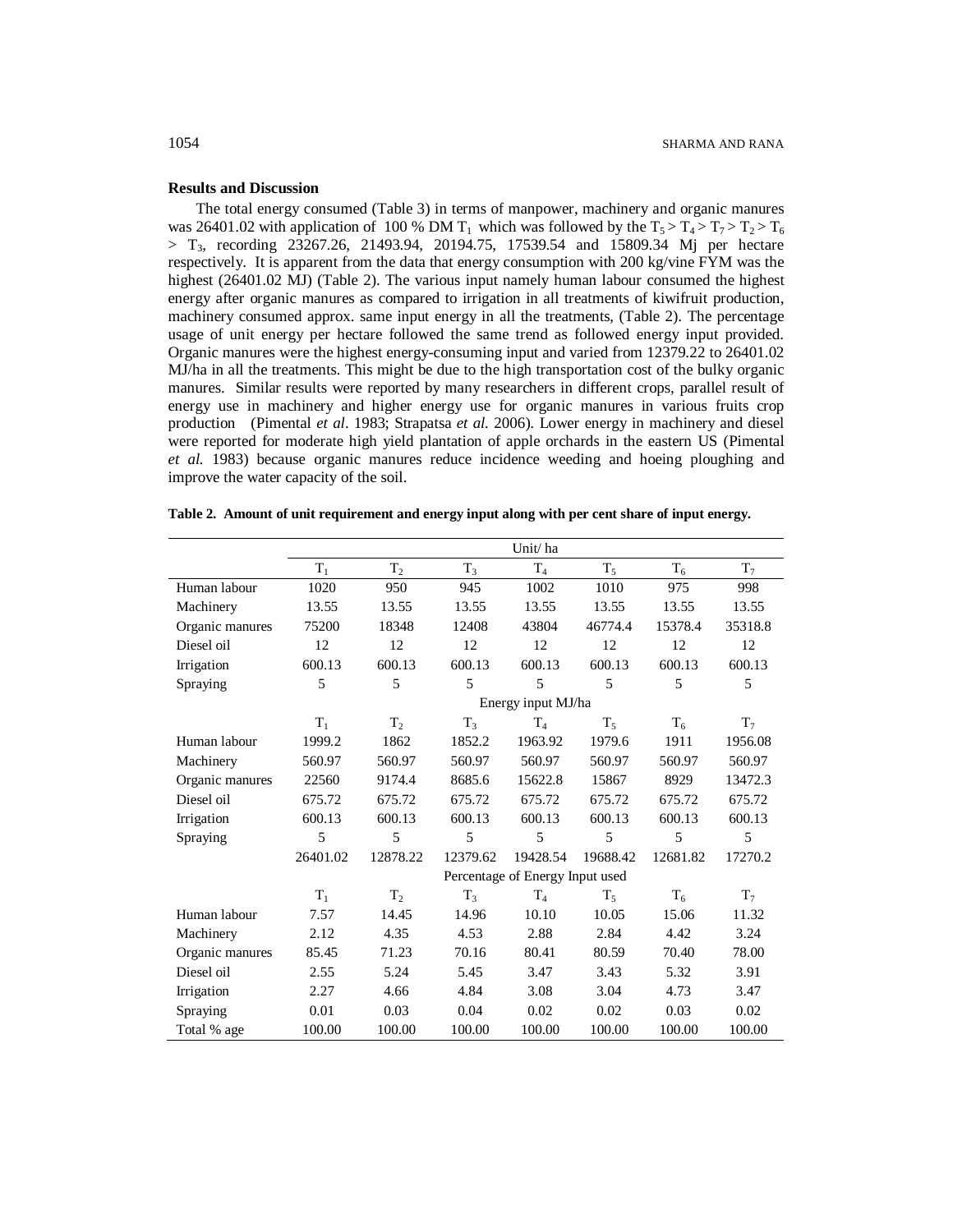#### **Results and Discussion**

The total energy consumed (Table 3) in terms of manpower, machinery and organic manures was 26401.02 with application of 100 % DM T<sub>1</sub> which was followed by the  $T_5 > T_4 > T_7 > T_2 > T_6$ > T3, recording 23267.26, 21493.94, 20194.75, 17539.54 and 15809.34 Mj per hectare respectively. It is apparent from the data that energy consumption with 200 kg/vine FYM was the highest (26401.02 MJ) (Table 2). The various input namely human labour consumed the highest energy after organic manures as compared to irrigation in all treatments of kiwifruit production, machinery consumed approx. same input energy in all the treatments, (Table 2). The percentage usage of unit energy per hectare followed the same trend as followed energy input provided. Organic manures were the highest energy-consuming input and varied from 12379.22 to 26401.02 MJ/ha in all the treatments. This might be due to the high transportation cost of the bulky organic manures. Similar results were reported by many researchers in different crops, parallel result of energy use in machinery and higher energy use for organic manures in various fruits crop production (Pimental *et al*. 1983; Strapatsa *et al.* 2006). Lower energy in machinery and diesel were reported for moderate high yield plantation of apple orchards in the eastern US (Pimental *et al.* 1983) because organic manures reduce incidence weeding and hoeing ploughing and improve the water capacity of the soil.

|                 |          |                |          | Unit/ha                         |          |          |         |
|-----------------|----------|----------------|----------|---------------------------------|----------|----------|---------|
|                 | $T_1$    | $T_2$          | $T_3$    | T <sub>4</sub>                  | $T_5$    | $T_6$    | $T_7$   |
| Human labour    | 1020     | 950            | 945      | 1002                            | 1010     | 975      | 998     |
| Machinery       | 13.55    | 13.55          | 13.55    | 13.55                           | 13.55    | 13.55    | 13.55   |
| Organic manures | 75200    | 18348          | 12408    | 43804                           | 46774.4  | 15378.4  | 35318.8 |
| Diesel oil      | 12       | 12             | 12       | 12                              | 12       | 12       | 12      |
| Irrigation      | 600.13   | 600.13         | 600.13   | 600.13                          | 600.13   | 600.13   | 600.13  |
| Spraying        | 5        | 5              | 5        | 5                               | 5        | 5        | 5       |
|                 |          |                |          | Energy input MJ/ha              |          |          |         |
|                 | $T_1$    | T <sub>2</sub> | $T_3$    | $T_{4}$                         | $T_5$    | $T_6$    | $T_7$   |
| Human labour    | 1999.2   | 1862           | 1852.2   | 1963.92                         | 1979.6   | 1911     | 1956.08 |
| Machinery       | 560.97   | 560.97         | 560.97   | 560.97                          | 560.97   | 560.97   | 560.97  |
| Organic manures | 22560    | 9174.4         | 8685.6   | 15622.8                         | 15867    | 8929     | 13472.3 |
| Diesel oil      | 675.72   | 675.72         | 675.72   | 675.72                          | 675.72   | 675.72   | 675.72  |
| Irrigation      | 600.13   | 600.13         | 600.13   | 600.13                          | 600.13   | 600.13   | 600.13  |
| Spraying        | 5        | 5              | 5        | 5                               | 5        | 5        | 5       |
|                 | 26401.02 | 12878.22       | 12379.62 | 19428.54                        | 19688.42 | 12681.82 | 17270.2 |
|                 |          |                |          | Percentage of Energy Input used |          |          |         |
|                 | $T_1$    | $T_2$          | $T_3$    | T <sub>4</sub>                  | $T_5$    | $T_6$    | $T_7$   |
| Human labour    | 7.57     | 14.45          | 14.96    | 10.10                           | 10.05    | 15.06    | 11.32   |
| Machinery       | 2.12     | 4.35           | 4.53     | 2.88                            | 2.84     | 4.42     | 3.24    |
| Organic manures | 85.45    | 71.23          | 70.16    | 80.41                           | 80.59    | 70.40    | 78.00   |
| Diesel oil      | 2.55     | 5.24           | 5.45     | 3.47                            | 3.43     | 5.32     | 3.91    |
| Irrigation      | 2.27     | 4.66           | 4.84     | 3.08                            | 3.04     | 4.73     | 3.47    |
| Spraying        | 0.01     | 0.03           | 0.04     | 0.02                            | 0.02     | 0.03     | 0.02    |
| Total % age     | 100.00   | 100.00         | 100.00   | 100.00                          | 100.00   | 100.00   | 100.00  |

| Table 2. Amount of unit requirement and energy input along with per cent share of input energy. |  |  |
|-------------------------------------------------------------------------------------------------|--|--|
|-------------------------------------------------------------------------------------------------|--|--|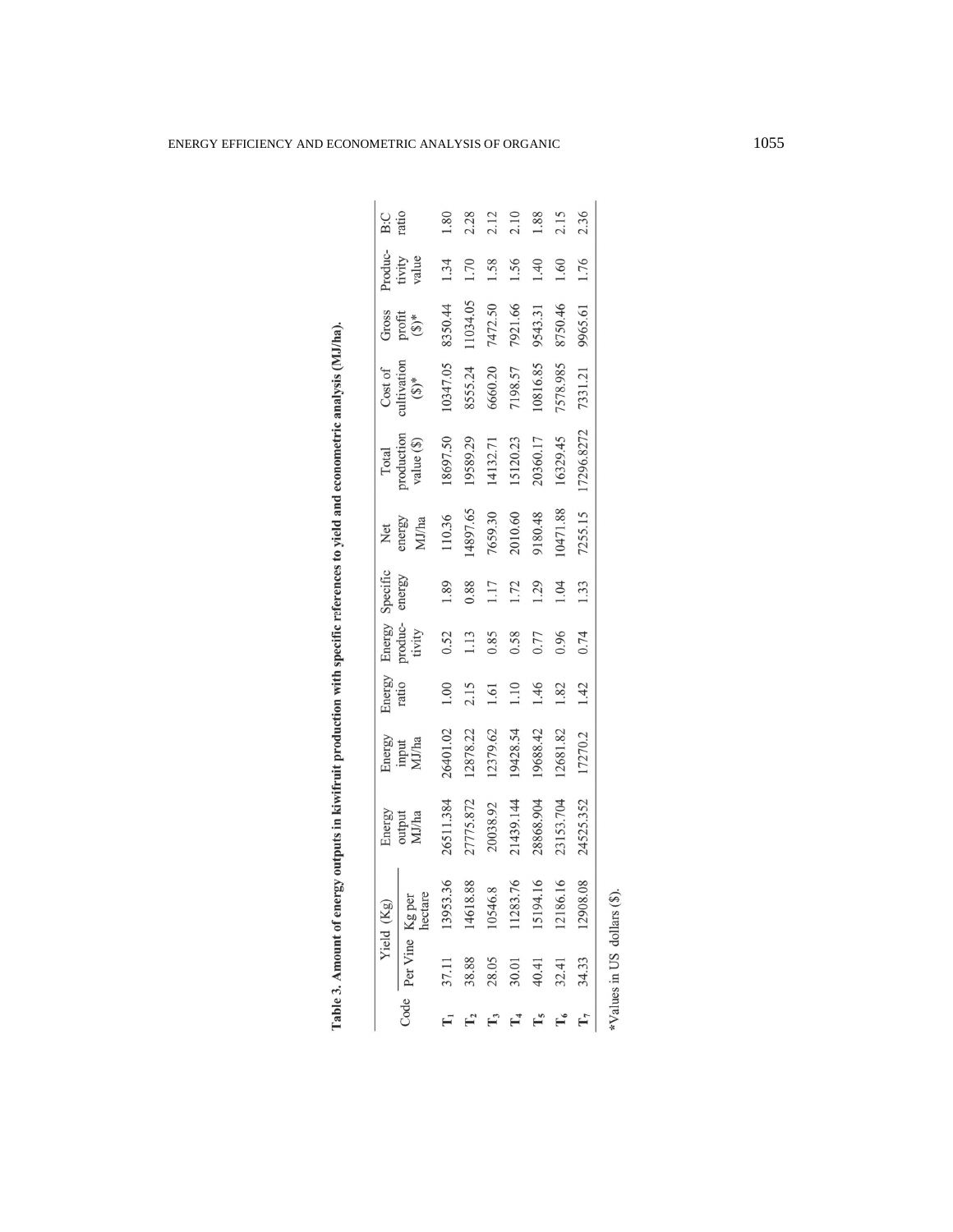|                |                 | Yield (Kg)    |                           |                          | Energy<br>ratio |                             | Specific | Xet             | Total                            |                                   |                          | Produc-         | B:C<br>ratio |
|----------------|-----------------|---------------|---------------------------|--------------------------|-----------------|-----------------------------|----------|-----------------|----------------------------------|-----------------------------------|--------------------------|-----------------|--------------|
| Code           | Per Vine Kg per | hectare       | Energy<br>output<br>MJ/ha | Energy<br>input<br>MJ/ha |                 | Energy<br>produc-<br>tivity | energy   | energy<br>MJ/ha | production<br>value $(\$)$       | Cost of<br>cultivation<br>$(5)^*$ | Gross<br>profit<br>(\$)* | tivity<br>value |              |
| $\mathbf{I}_1$ | 37.11           | .36<br>13953. | 26511.384                 | 26401.02                 | $1.00\,$        | 0.52                        | 1.89     | 110.36          |                                  | 10347.05                          | 8350.44                  | 1.34            | 1.80         |
|                | 38.88           | 14618.88      | 27775.872                 | 12878.22                 | 2.15            | $1.13$                      | 0.88     | 14897.65        | 18697.50<br>19589.29<br>14132.71 | 8555.24                           | 11034.05                 | 1.70            | 2.28         |
|                | 28.05           | 10546.8       | 20038.92                  | 12379.62                 | 1.61            | 0.85                        | 1.17     | 7659.30         |                                  | 6660.20                           | 7472.50                  | 1.58            | 2.12         |
|                | 30.01           | 11283.76      | 1439.144                  | 19428.54                 | 1.10            | 0.58                        | 1.72     | 2010.60         | 15120.23                         | 7198.57                           | 7921.66                  | 1.56            | 2.10         |
|                | 40.41           | 15194.16      | 8868.904                  | 19688.42                 | 1.46            | 0.77                        | 1.29     | 84.0816         | 20360.17                         | 10816.85                          | 9543.31                  | 1.40            | 1.88         |
|                | 32.41           | 12186.16      | 13153.704                 | 12681.82                 | 1.82            | 0.96                        | 1.04     | 10471.88        | 16329.45                         | 7578.985                          | 8750.46                  | 1.60            | 2.15         |
| $\Gamma_7$     | 34.33           | 12908.08      | 24525.352                 | 17270.2                  | 1.42            | 0.74                        | 1.33     | 7255.15         | 7296.8272                        | 7331.21                           | 9965.61                  | 1.76            | 2.36         |
|                | $N_1$           |               |                           |                          |                 |                             |          |                 |                                  |                                   |                          |                 |              |

Table 3. Amount of energy outputs in kiwifruit production with specific references to yield and econometric analysis (MJ/ha).

\*Values in US dollars (\$).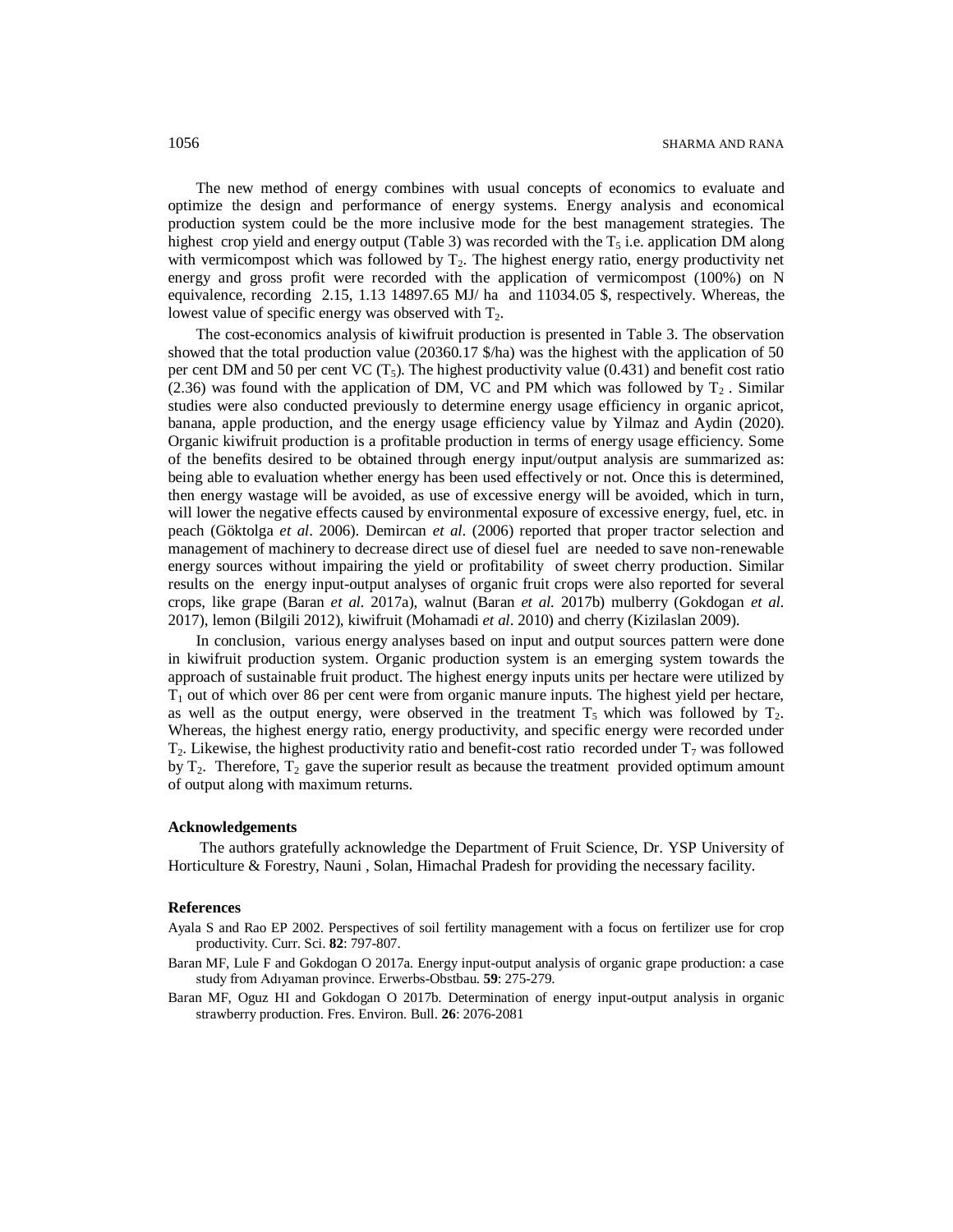The new method of energy combines with usual concepts of economics to evaluate and optimize the design and performance of energy systems. Energy analysis and economical production system could be the more inclusive mode for the best management strategies. The highest crop yield and energy output (Table 3) was recorded with the  $T_5$  i.e. application DM along with vermicompost which was followed by  $T<sub>2</sub>$ . The highest energy ratio, energy productivity net energy and gross profit were recorded with the application of vermicompost (100%) on N equivalence, recording 2.15, 1.13 14897.65 MJ/ ha and 11034.05 \$, respectively. Whereas, the lowest value of specific energy was observed with  $T_2$ .

The cost-economics analysis of kiwifruit production is presented in Table 3. The observation showed that the total production value (20360.17 \$/ha) was the highest with the application of 50 per cent DM and 50 per cent VC  $(T_5)$ . The highest productivity value (0.431) and benefit cost ratio (2.36) was found with the application of DM, VC and PM which was followed by  $T_2$ . Similar studies were also conducted previously to determine energy usage efficiency in organic apricot, banana, apple production, and the energy usage efficiency value by Yilmaz and Aydin (2020). Organic kiwifruit production is a profitable production in terms of energy usage efficiency. Some of the benefits desired to be obtained through energy input/output analysis are summarized as: being able to evaluation whether energy has been used effectively or not. Once this is determined, then energy wastage will be avoided, as use of excessive energy will be avoided, which in turn, will lower the negative effects caused by environmental exposure of excessive energy, fuel, etc. in peach (Göktolga *et al*. 2006). Demircan *et al*. (2006) reported that proper tractor selection and management of machinery to decrease direct use of diesel fuel are needed to save non-renewable energy sources without impairing the yield or profitability of sweet cherry production. Similar results on the energy input-output analyses of organic fruit crops were also reported for several crops, like grape (Baran *et al.* 2017a), walnut (Baran *et al.* 2017b) mulberry (Gokdogan *et al.* 2017), lemon (Bilgili 2012), kiwifruit (Mohamadi *et al*. 2010) and cherry (Kizilaslan 2009).

In conclusion, various energy analyses based on input and output sources pattern were done in kiwifruit production system. Organic production system is an emerging system towards the approach of sustainable fruit product. The highest energy inputs units per hectare were utilized by  $T_1$  out of which over 86 per cent were from organic manure inputs. The highest yield per hectare, as well as the output energy, were observed in the treatment  $T_5$  which was followed by  $T_2$ . Whereas, the highest energy ratio, energy productivity, and specific energy were recorded under  $T_2$ . Likewise, the highest productivity ratio and benefit-cost ratio recorded under  $T_7$  was followed by  $T_2$ . Therefore,  $T_2$  gave the superior result as because the treatment provided optimum amount of output along with maximum returns.

#### **Acknowledgements**

The authors gratefully acknowledge the Department of Fruit Science, Dr. YSP University of Horticulture & Forestry, Nauni , Solan, Himachal Pradesh for providing the necessary facility.

#### **References**

- Ayala S and Rao EP 2002. Perspectives of soil fertility management with a focus on fertilizer use for crop productivity. Curr. Sci. **82**: 797-807.
- Baran MF, Lule F and Gokdogan O 2017a. Energy input-output analysis of organic grape production: a case study from Adıyaman province. Erwerbs-Obstbau. **59**: 275-279.
- Baran MF, Oguz HI and Gokdogan O 2017b. Determination of energy input-output analysis in organic strawberry production. Fres. Environ. Bull. **26**: 2076-2081